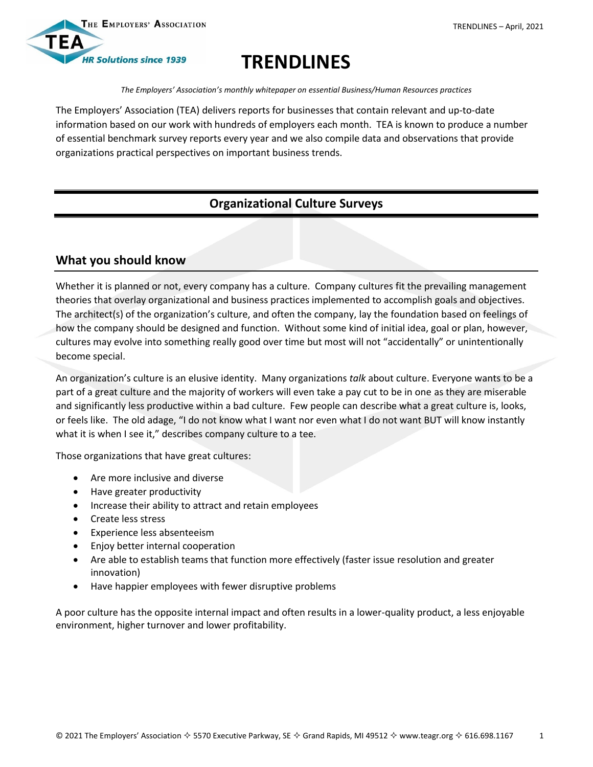



# **TRENDLINES**

*The Employers' Association's monthly whitepaper on essential Business/Human Resources practices*

The Employers' Association (TEA) delivers reports for businesses that contain relevant and up-to-date information based on our work with hundreds of employers each month. TEA is known to produce a number of essential benchmark survey reports every year and we also compile data and observations that provide organizations practical perspectives on important business trends.

## **Organizational Culture Surveys**

### **What you should know**

Whether it is planned or not, every company has a culture. Company cultures fit the prevailing management theories that overlay organizational and business practices implemented to accomplish goals and objectives. The architect(s) of the organization's culture, and often the company, lay the foundation based on feelings of how the company should be designed and function. Without some kind of initial idea, goal or plan, however, cultures may evolve into something really good over time but most will not "accidentally" or unintentionally become special.

An organization's culture is an elusive identity. Many organizations *talk* about culture. Everyone wants to be a part of a great culture and the majority of workers will even take a pay cut to be in one as they are miserable and significantly less productive within a bad culture. Few people can describe what a great culture is, looks, or feels like. The old adage, "I do not know what I want nor even what I do not want BUT will know instantly what it is when I see it," describes company culture to a tee.

Those organizations that have great cultures:

- Are more inclusive and diverse
- Have greater productivity
- Increase their ability to attract and retain employees
- Create less stress
- Experience less absenteeism
- Enjoy better internal cooperation
- Are able to establish teams that function more effectively (faster issue resolution and greater innovation)
- Have happier employees with fewer disruptive problems

A poor culture has the opposite internal impact and often results in a lower-quality product, a less enjoyable environment, higher turnover and lower profitability.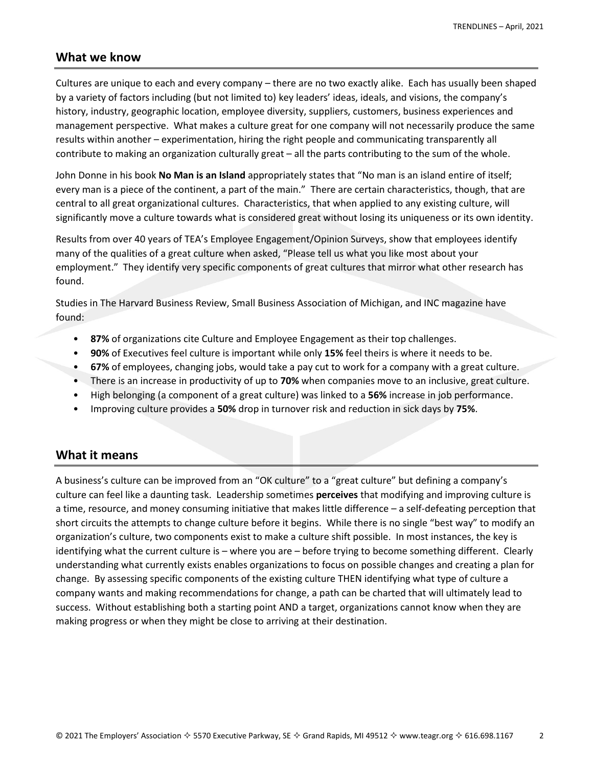#### **What we know**

Cultures are unique to each and every company – there are no two exactly alike. Each has usually been shaped by a variety of factors including (but not limited to) key leaders' ideas, ideals, and visions, the company's history, industry, geographic location, employee diversity, suppliers, customers, business experiences and management perspective. What makes a culture great for one company will not necessarily produce the same results within another – experimentation, hiring the right people and communicating transparently all contribute to making an organization culturally great – all the parts contributing to the sum of the whole.

John Donne in his book **No Man is an Island** appropriately states that "No man is an island entire of itself; every man is a piece of the continent, a part of the main." There are certain characteristics, though, that are central to all great organizational cultures. Characteristics, that when applied to any existing culture, will significantly move a culture towards what is considered great without losing its uniqueness or its own identity.

Results from over 40 years of TEA's Employee Engagement/Opinion Surveys, show that employees identify many of the qualities of a great culture when asked, "Please tell us what you like most about your employment." They identify very specific components of great cultures that mirror what other research has found.

Studies in The Harvard Business Review, Small Business Association of Michigan, and INC magazine have found:

- **87%** of organizations cite Culture and Employee Engagement as their top challenges.
- **90%** of Executives feel culture is important while only **15%** feel theirs is where it needs to be.
- **67%** of employees, changing jobs, would take a pay cut to work for a company with a great culture.
- There is an increase in productivity of up to **70%** when companies move to an inclusive, great culture.
- High belonging (a component of a great culture) was linked to a **56%** increase in job performance.
- Improving culture provides a **50%** drop in turnover risk and reduction in sick days by **75%**.

### **What it means**

A business's culture can be improved from an "OK culture" to a "great culture" but defining a company's culture can feel like a daunting task. Leadership sometimes **perceives** that modifying and improving culture is a time, resource, and money consuming initiative that makes little difference – a self-defeating perception that short circuits the attempts to change culture before it begins. While there is no single "best way" to modify an organization's culture, two components exist to make a culture shift possible. In most instances, the key is identifying what the current culture is – where you are – before trying to become something different. Clearly understanding what currently exists enables organizations to focus on possible changes and creating a plan for change. By assessing specific components of the existing culture THEN identifying what type of culture a company wants and making recommendations for change, a path can be charted that will ultimately lead to success. Without establishing both a starting point AND a target, organizations cannot know when they are making progress or when they might be close to arriving at their destination.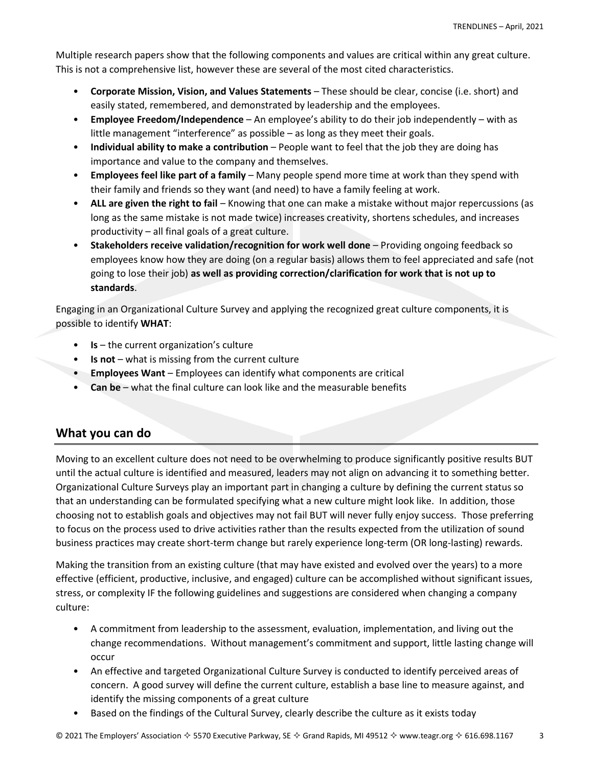Multiple research papers show that the following components and values are critical within any great culture. This is not a comprehensive list, however these are several of the most cited characteristics.

- **Corporate Mission, Vision, and Values Statements** These should be clear, concise (i.e. short) and easily stated, remembered, and demonstrated by leadership and the employees.
- **Employee Freedom/Independence** An employee's ability to do their job independently with as little management "interference" as possible – as long as they meet their goals.
- **Individual ability to make a contribution** People want to feel that the job they are doing has importance and value to the company and themselves.
- **Employees feel like part of a family** Many people spend more time at work than they spend with their family and friends so they want (and need) to have a family feeling at work.
- **ALL are given the right to fail** Knowing that one can make a mistake without major repercussions (as long as the same mistake is not made twice) increases creativity, shortens schedules, and increases productivity – all final goals of a great culture.
- **Stakeholders receive validation/recognition for work well done** Providing ongoing feedback so employees know how they are doing (on a regular basis) allows them to feel appreciated and safe (not going to lose their job) **as well as providing correction/clarification for work that is not up to standards**.

Engaging in an Organizational Culture Survey and applying the recognized great culture components, it is possible to identify **WHAT**:

- **Is** the current organization's culture
- **Is not** what is missing from the current culture
- **Employees Want** Employees can identify what components are critical
- **Can be** what the final culture can look like and the measurable benefits

### **What you can do**

Moving to an excellent culture does not need to be overwhelming to produce significantly positive results BUT until the actual culture is identified and measured, leaders may not align on advancing it to something better. Organizational Culture Surveys play an important part in changing a culture by defining the current status so that an understanding can be formulated specifying what a new culture might look like. In addition, those choosing not to establish goals and objectives may not fail BUT will never fully enjoy success. Those preferring to focus on the process used to drive activities rather than the results expected from the utilization of sound business practices may create short-term change but rarely experience long-term (OR long-lasting) rewards.

Making the transition from an existing culture (that may have existed and evolved over the years) to a more effective (efficient, productive, inclusive, and engaged) culture can be accomplished without significant issues, stress, or complexity IF the following guidelines and suggestions are considered when changing a company culture:

- A commitment from leadership to the assessment, evaluation, implementation, and living out the change recommendations. Without management's commitment and support, little lasting change will occur
- An effective and targeted Organizational Culture Survey is conducted to identify perceived areas of concern. A good survey will define the current culture, establish a base line to measure against, and identify the missing components of a great culture
- Based on the findings of the Cultural Survey, clearly describe the culture as it exists today